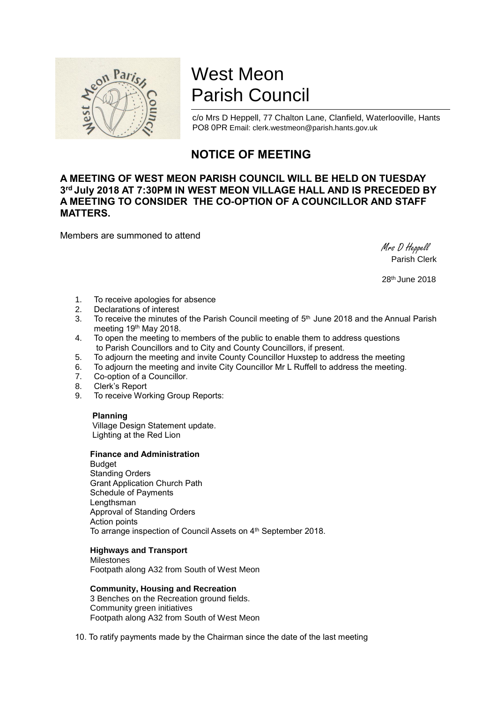

# West Meon Parish Council

c/o Mrs D Heppell, 77 Chalton Lane, Clanfield, Waterlooville, Hants PO8 0PR Email: clerk.westmeon@parish.hants.gov.uk

# **NOTICE OF MEETING**

# **A MEETING OF WEST MEON PARISH COUNCIL WILL BE HELD ON TUESDAY 3 rd July 2018 AT 7:30PM IN WEST MEON VILLAGE HALL AND IS PRECEDED BY A MEETING TO CONSIDER THE CO-OPTION OF A COUNCILLOR AND STAFF MATTERS.**

Members are summoned to attend

 Mrs D Heppell Parish Clerk

28th June 2018

- 1. To receive apologies for absence<br>2. Declarations of interest
- Declarations of interest
- 3. To receive the minutes of the Parish Council meeting of  $5<sup>th</sup>$  June 2018 and the Annual Parish meeting 19th May 2018.
- 4. To open the meeting to members of the public to enable them to address questions to Parish Councillors and to City and County Councillors, if present.
- 5. To adjourn the meeting and invite County Councillor Huxstep to address the meeting
- 6. To adjourn the meeting and invite City Councillor Mr L Ruffell to address the meeting.
- 7. Co-option of a Councillor.
- 8. Clerk's Report
- 9. To receive Working Group Reports:

## **Planning**

 Village Design Statement update. Lighting at the Red Lion

### **Finance and Administration**

**Budget** Standing Orders Grant Application Church Path Schedule of Payments Lengthsman Approval of Standing Orders Action points To arrange inspection of Council Assets on 4th September 2018.

### **Highways and Transport**

Milestones Footpath along A32 from South of West Meon

### **Community, Housing and Recreation**

3 Benches on the Recreation ground fields. Community green initiatives Footpath along A32 from South of West Meon

10. To ratify payments made by the Chairman since the date of the last meeting